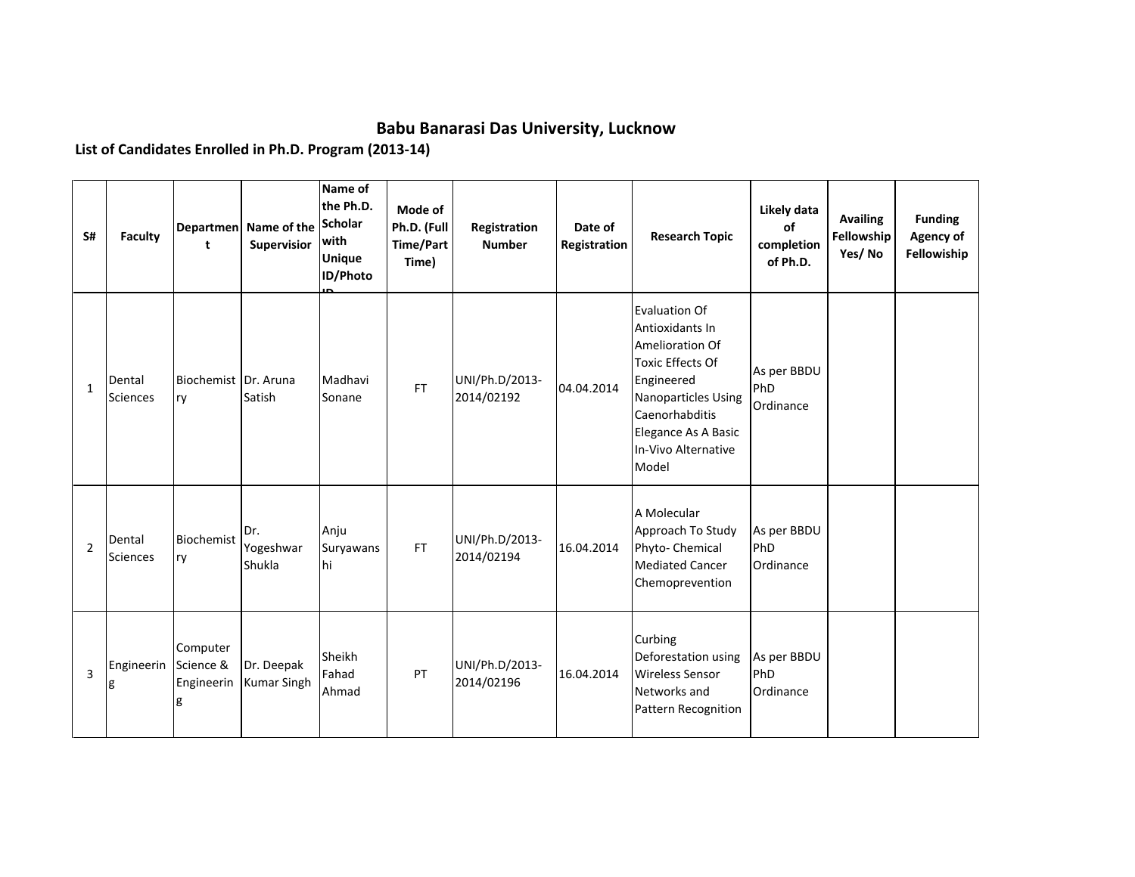## **Babu Banarasi Das University, Lucknow**

**List of Candidates Enrolled in Ph.D. Program (2013-14)**

| S#             | <b>Faculty</b>            | t                                        | Departmen Name of the<br>Supervisior | Name of<br>the Ph.D.<br><b>Scholar</b><br>with<br><b>Unique</b><br>ID/Photo | Mode of<br>Ph.D. (Full<br><b>Time/Part</b><br>Time) | Registration<br><b>Number</b> | Date of<br>Registration | <b>Research Topic</b>                                                                                                                                                                               | Likely data<br>of<br>completion<br>of Ph.D. | <b>Availing</b><br>Fellowship<br>Yes/No | <b>Funding</b><br>Agency of<br>Fellowiship |
|----------------|---------------------------|------------------------------------------|--------------------------------------|-----------------------------------------------------------------------------|-----------------------------------------------------|-------------------------------|-------------------------|-----------------------------------------------------------------------------------------------------------------------------------------------------------------------------------------------------|---------------------------------------------|-----------------------------------------|--------------------------------------------|
| $\mathbf{1}$   | Dental<br><b>Sciences</b> | Biochemist Dr. Aruna<br>ry               | Satish                               | Madhavi<br>Sonane                                                           | FT.                                                 | UNI/Ph.D/2013-<br>2014/02192  | 04.04.2014              | Evaluation Of<br>Antioxidants In<br>Amelioration Of<br><b>Toxic Effects Of</b><br>Engineered<br><b>Nanoparticles Using</b><br>Caenorhabditis<br>Elegance As A Basic<br>In-Vivo Alternative<br>Model | As per BBDU<br>PhD<br>Ordinance             |                                         |                                            |
| $\overline{2}$ | Dental<br><b>Sciences</b> | Biochemist<br>ry                         | Dr.<br>Yogeshwar<br>Shukla           | Anju<br>Suryawans<br>hi                                                     | FT.                                                 | UNI/Ph.D/2013-<br>2014/02194  | 16.04.2014              | A Molecular<br>Approach To Study<br>Phyto- Chemical<br><b>Mediated Cancer</b><br>Chemoprevention                                                                                                    | As per BBDU<br>PhD<br>Ordinance             |                                         |                                            |
| 3              | Engineerin<br>g           | Computer<br>Science &<br>Engineerin<br>g | Dr. Deepak<br><b>Kumar Singh</b>     | Sheikh<br>Fahad<br>Ahmad                                                    | PT                                                  | UNI/Ph.D/2013-<br>2014/02196  | 16.04.2014              | Curbing<br>Deforestation using<br><b>Wireless Sensor</b><br>Networks and<br>Pattern Recognition                                                                                                     | As per BBDU<br>PhD<br>Ordinance             |                                         |                                            |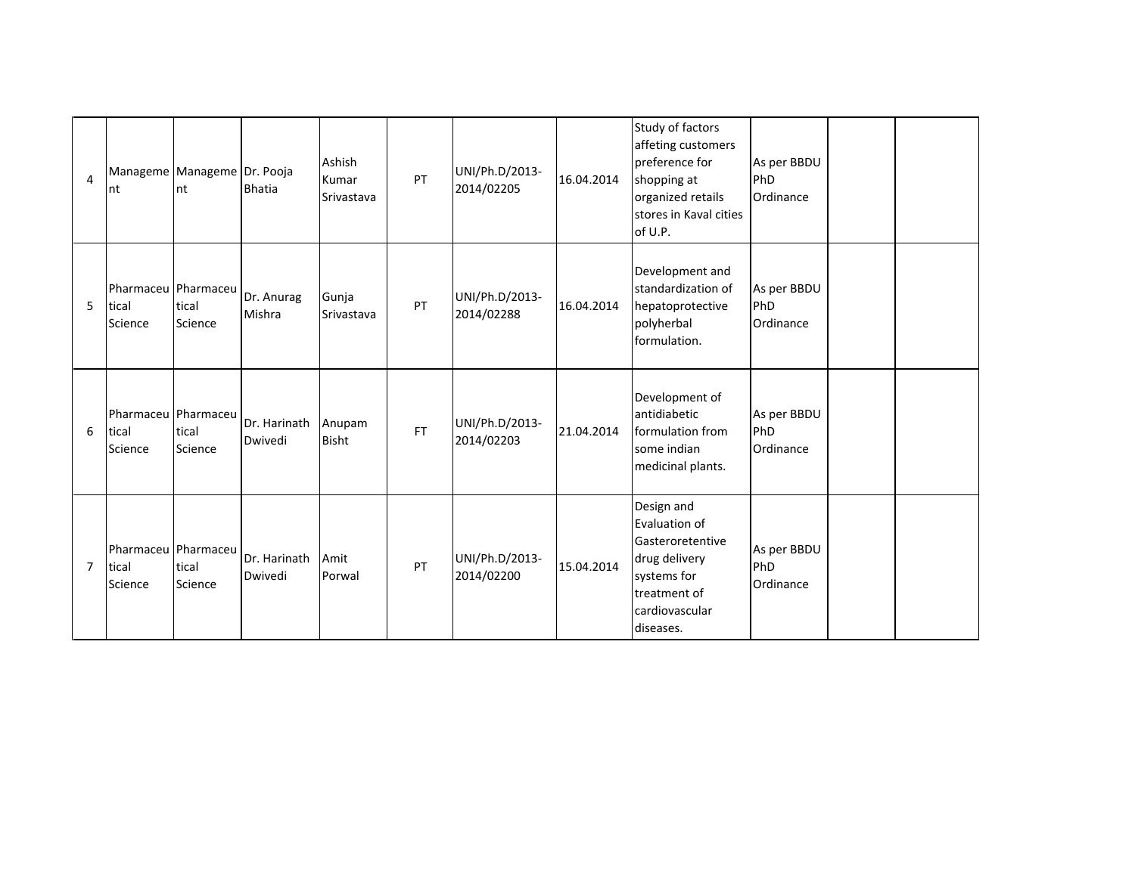| $\overline{4}$ | Manageme Manageme Dr. Pooja<br>nt       | nt               | <b>Bhatia</b>           | Ashish<br>Kumar<br>Srivastava | PT        | UNI/Ph.D/2013-<br>2014/02205 | 16.04.2014 | Study of factors<br>affeting customers<br>preference for<br>shopping at<br>organized retails<br>stores in Kaval cities<br>of U.P. | As per BBDU<br>PhD<br>Ordinance |  |
|----------------|-----------------------------------------|------------------|-------------------------|-------------------------------|-----------|------------------------------|------------|-----------------------------------------------------------------------------------------------------------------------------------|---------------------------------|--|
| 5              | Pharmaceu Pharmaceu<br>tical<br>Science | tical<br>Science | Dr. Anurag<br>Mishra    | Gunja<br>Srivastava           | PT        | UNI/Ph.D/2013-<br>2014/02288 | 16.04.2014 | Development and<br>standardization of<br>hepatoprotective<br>polyherbal<br>formulation.                                           | As per BBDU<br>PhD<br>Ordinance |  |
| 6              | Pharmaceu Pharmaceu<br>tical<br>Science | tical<br>Science | Dr. Harinath<br>Dwivedi | Anupam<br>Bisht               | <b>FT</b> | UNI/Ph.D/2013-<br>2014/02203 | 21.04.2014 | Development of<br>antidiabetic<br>formulation from<br>some indian<br>medicinal plants.                                            | As per BBDU<br>PhD<br>Ordinance |  |
| $\overline{7}$ | Pharmaceu Pharmaceu<br>tical<br>Science | tical<br>Science | Dr. Harinath<br>Dwivedi | Amit<br>Porwal                | PT        | UNI/Ph.D/2013-<br>2014/02200 | 15.04.2014 | Design and<br>Evaluation of<br>Gasteroretentive<br>drug delivery<br>systems for<br>treatment of<br>cardiovascular<br>diseases.    | As per BBDU<br>PhD<br>Ordinance |  |